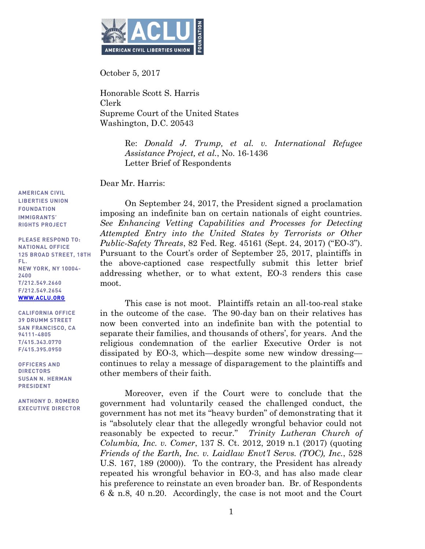

October 5, 2017

Honorable Scott S. Harris Clerk Supreme Court of the United States Washington, D.C. 20543

> Re: *Donald J. Trump, et al. v. International Refugee Assistance Project, et al.*, No. 16-1436 Letter Brief of Respondents

Dear Mr. Harris:

On September 24, 2017, the President signed a proclamation imposing an indefinite ban on certain nationals of eight countries. *See Enhancing Vetting Capabilities and Processes for Detecting Attempted Entry into the United States by Terrorists or Other Public-Safety Threats*, 82 Fed. Reg. 45161 (Sept. 24, 2017) ("EO-3"). Pursuant to the Court's order of September 25, 2017, plaintiffs in the above-captioned case respectfully submit this letter brief addressing whether, or to what extent, EO-3 renders this case moot.

This case is not moot. Plaintiffs retain an all-too-real stake in the outcome of the case. The 90-day ban on their relatives has now been converted into an indefinite ban with the potential to separate their families, and thousands of others', for years. And the religious condemnation of the earlier Executive Order is not dissipated by EO-3, which—despite some new window dressing continues to relay a message of disparagement to the plaintiffs and other members of their faith.

Moreover, even if the Court were to conclude that the government had voluntarily ceased the challenged conduct, the government has not met its "heavy burden" of demonstrating that it is "absolutely clear that the allegedly wrongful behavior could not reasonably be expected to recur." *Trinity Lutheran Church of Columbia, Inc. v. Comer*, 137 S. Ct. 2012, 2019 n.1 (2017) (quoting *Friends of the Earth, Inc. v. Laidlaw Envt'l Servs. (TOC), Inc.*, 528 U.S. 167, 189 (2000)). To the contrary, the President has already repeated his wrongful behavior in EO-3, and has also made clear his preference to reinstate an even broader ban. Br. of Respondents 6 & n.8, 40 n.20. Accordingly, the case is not moot and the Court

**AMERICAN CIVIL LIBERTIES UNION FOUNDATION IMMIGRANTS' RIGHTS PROJECT** 

**PLEASE RESPOND TO: 125 BROAD STREET, 18TH 125 BROAD STREET, 18TH NEW YORK, NY 10004-NEW YORK, NY 10004-** T/212.549.2660 **T/212.549.2660 F**<br>WANNA ACLILOD **WWW.ACCLU.ORG** 

**CALIFORNIA OFFICE SAN FRANCISCO, CA 94111-4805** T/415.343.0770 **T/415.343.0770**

**OFFICERS AND SUSAN N. HERMAN SUSAN NEWSAN**<br>DDECIDENT

**F/415.395.0950**

**EXECUTIVE DIDECTOR**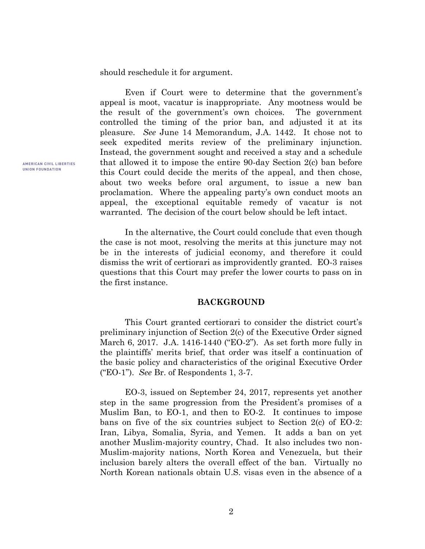should reschedule it for argument.

Even if Court were to determine that the government's appeal is moot, vacatur is inappropriate. Any mootness would be the result of the government's own choices. The government controlled the timing of the prior ban, and adjusted it at its pleasure. *See* June 14 Memorandum, J.A. 1442. It chose not to seek expedited merits review of the preliminary injunction. Instead, the government sought and received a stay and a schedule that allowed it to impose the entire 90-day Section 2(c) ban before this Court could decide the merits of the appeal, and then chose, about two weeks before oral argument, to issue a new ban proclamation. Where the appealing party's own conduct moots an appeal, the exceptional equitable remedy of vacatur is not warranted. The decision of the court below should be left intact.

In the alternative, the Court could conclude that even though the case is not moot, resolving the merits at this juncture may not be in the interests of judicial economy, and therefore it could dismiss the writ of certiorari as improvidently granted. EO-3 raises questions that this Court may prefer the lower courts to pass on in the first instance.

### **BACKGROUND**

This Court granted certiorari to consider the district court's preliminary injunction of Section 2(c) of the Executive Order signed March 6, 2017. J.A. 1416-1440 ("EO-2"). As set forth more fully in the plaintiffs' merits brief, that order was itself a continuation of the basic policy and characteristics of the original Executive Order ("EO-1"). *See* Br. of Respondents 1, 3-7.

EO-3, issued on September 24, 2017, represents yet another step in the same progression from the President's promises of a Muslim Ban, to EO-1, and then to EO-2. It continues to impose bans on five of the six countries subject to Section 2(c) of EO-2: Iran, Libya, Somalia, Syria, and Yemen. It adds a ban on yet another Muslim-majority country, Chad. It also includes two non-Muslim-majority nations, North Korea and Venezuela, but their inclusion barely alters the overall effect of the ban. Virtually no North Korean nationals obtain U.S. visas even in the absence of a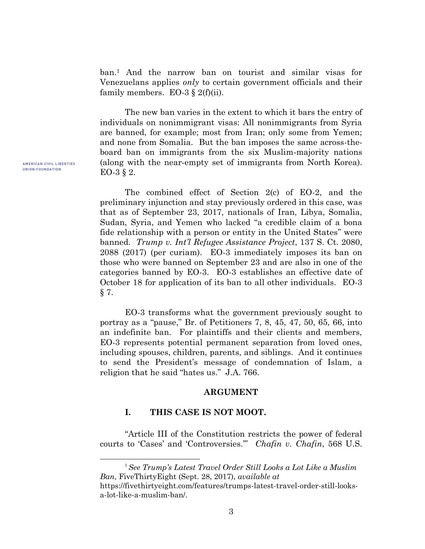ban.<sup>1</sup> And the narrow ban on tourist and similar visas for Venezuelans applies *only* to certain government officials and their family members. EO-3  $\S$  2(f)(ii).

The new ban varies in the extent to which it bars the entry of individuals on nonimmigrant visas: All nonimmigrants from Syria are banned, for example; most from Iran; only some from Yemen; and none from Somalia. But the ban imposes the same across-theboard ban on immigrants from the six Muslim-majority nations (along with the near-empty set of immigrants from North Korea). EO-3 § 2.

The combined effect of Section 2(c) of EO-2, and the preliminary injunction and stay previously ordered in this case, was that as of September 23, 2017, nationals of Iran, Libya, Somalia, Sudan, Syria, and Yemen who lacked "a credible claim of a bona fide relationship with a person or entity in the United States" were banned. *Trump v. Int'l Refugee Assistance Project*, 137 S. Ct. 2080, 2088 (2017) (per curiam). EO-3 immediately imposes its ban on those who were banned on September 23 and are also in one of the categories banned by EO-3. EO-3 establishes an effective date of October 18 for application of its ban to all other individuals. EO-3 § 7.

EO-3 transforms what the government previously sought to portray as a "pause," Br. of Petitioners 7, 8, 45, 47, 50, 65, 66, into an indefinite ban. For plaintiffs and their clients and members, EO-3 represents potential permanent separation from loved ones, including spouses, children, parents, and siblings. And it continues to send the President's message of condemnation of Islam, a religion that he said "hates us." J.A. 766.

#### **ARGUMENT**

### **I. THIS CASE IS NOT MOOT.**

 $\overline{a}$ 

"Article III of the Constitution restricts the power of federal courts to 'Cases' and 'Controversies.'" *Chafin v. Chafin*, 568 U.S.

<sup>1</sup>*See Trump's Latest Travel Order Still Looks a Lot Like a Muslim Ban*, FiveThirtyEight (Sept. 28, 2017), *available at*  https://fivethirtyeight.com/features/trumps-latest-travel-order-still-looksa-lot-like-a-muslim-ban/.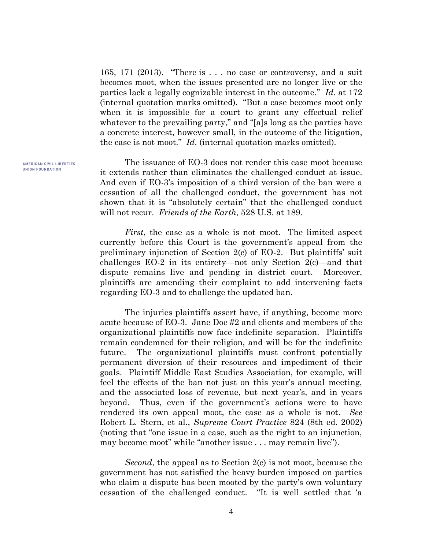165, 171 (2013). "There is . . . no case or controversy, and a suit becomes moot, when the issues presented are no longer live or the parties lack a legally cognizable interest in the outcome." *Id*. at 172 (internal quotation marks omitted). "But a case becomes moot only when it is impossible for a court to grant any effectual relief whatever to the prevailing party," and "[a]s long as the parties have a concrete interest, however small, in the outcome of the litigation, the case is not moot." *Id*. (internal quotation marks omitted).

The issuance of EO-3 does not render this case moot because it extends rather than eliminates the challenged conduct at issue. And even if EO-3's imposition of a third version of the ban were a cessation of all the challenged conduct, the government has not shown that it is "absolutely certain" that the challenged conduct will not recur. *Friends of the Earth*, 528 U.S. at 189.

*First*, the case as a whole is not moot. The limited aspect currently before this Court is the government's appeal from the preliminary injunction of Section 2(c) of EO-2. But plaintiffs' suit challenges EO-2 in its entirety—not only Section 2(c)—and that dispute remains live and pending in district court. Moreover, plaintiffs are amending their complaint to add intervening facts regarding EO-3 and to challenge the updated ban.

The injuries plaintiffs assert have, if anything, become more acute because of EO-3. Jane Doe #2 and clients and members of the organizational plaintiffs now face indefinite separation. Plaintiffs remain condemned for their religion, and will be for the indefinite future. The organizational plaintiffs must confront potentially permanent diversion of their resources and impediment of their goals. Plaintiff Middle East Studies Association, for example, will feel the effects of the ban not just on this year's annual meeting, and the associated loss of revenue, but next year's, and in years beyond. Thus, even if the government's actions were to have rendered its own appeal moot, the case as a whole is not. *See* Robert L. Stern, et al., *Supreme Court Practice* 824 (8th ed. 2002) (noting that "one issue in a case, such as the right to an injunction, may become moot" while "another issue . . . may remain live").

*Second*, the appeal as to Section 2(c) is not moot, because the government has not satisfied the heavy burden imposed on parties who claim a dispute has been mooted by the party's own voluntary cessation of the challenged conduct. "It is well settled that 'a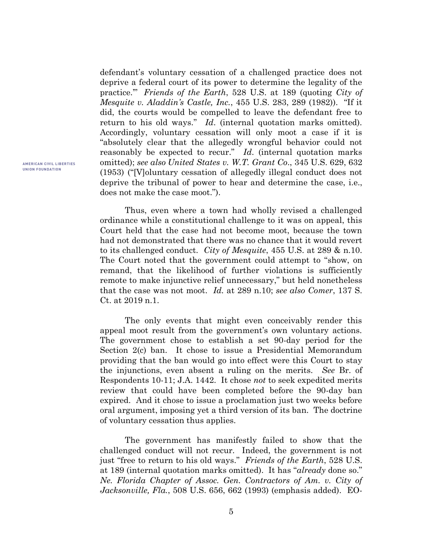defendant's voluntary cessation of a challenged practice does not deprive a federal court of its power to determine the legality of the practice.'" *Friends of the Earth*, 528 U.S. at 189 (quoting *City of Mesquite v. Aladdin's Castle, Inc.*, 455 U.S. 283, 289 (1982)). "If it did, the courts would be compelled to leave the defendant free to return to his old ways." *Id*. (internal quotation marks omitted). Accordingly, voluntary cessation will only moot a case if it is "absolutely clear that the allegedly wrongful behavior could not reasonably be expected to recur." *Id*. (internal quotation marks omitted); *see also United States v. W.T. Grant Co*., 345 U.S. 629, 632 (1953) ("[V]oluntary cessation of allegedly illegal conduct does not deprive the tribunal of power to hear and determine the case, i.e., does not make the case moot.").

Thus, even where a town had wholly revised a challenged ordinance while a constitutional challenge to it was on appeal, this Court held that the case had not become moot, because the town had not demonstrated that there was no chance that it would revert to its challenged conduct. *City of Mesquite*, 455 U.S. at 289 & n.10. The Court noted that the government could attempt to "show, on remand, that the likelihood of further violations is sufficiently remote to make injunctive relief unnecessary," but held nonetheless that the case was not moot. *Id.* at 289 n.10; *see also Comer*, 137 S. Ct. at 2019 n.1.

The only events that might even conceivably render this appeal moot result from the government's own voluntary actions. The government chose to establish a set 90-day period for the Section 2(c) ban. It chose to issue a Presidential Memorandum providing that the ban would go into effect were this Court to stay the injunctions, even absent a ruling on the merits. *See* Br. of Respondents 10-11; J.A. 1442. It chose *not* to seek expedited merits review that could have been completed before the 90-day ban expired. And it chose to issue a proclamation just two weeks before oral argument, imposing yet a third version of its ban. The doctrine of voluntary cessation thus applies.

The government has manifestly failed to show that the challenged conduct will not recur. Indeed, the government is not just "free to return to his old ways." *Friends of the Earth*, 528 U.S. at 189 (internal quotation marks omitted). It has "*already* done so." *Ne. Florida Chapter of Assoc. Gen. Contractors of Am. v. City of Jacksonville, Fla.*, 508 U.S. 656, 662 (1993) (emphasis added). EO-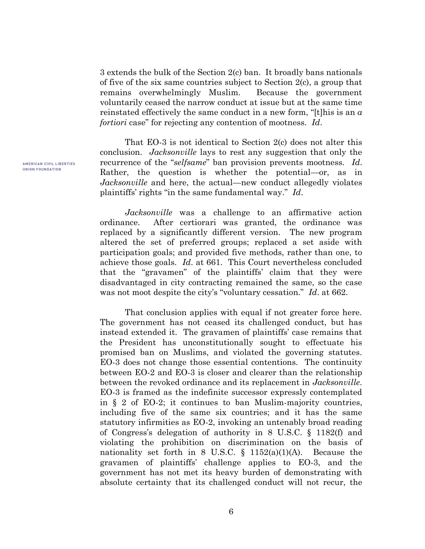3 extends the bulk of the Section 2(c) ban. It broadly bans nationals of five of the six same countries subject to Section 2(c), a group that remains overwhelmingly Muslim. Because the government voluntarily ceased the narrow conduct at issue but at the same time reinstated effectively the same conduct in a new form, "[t]his is an *a fortiori* case" for rejecting any contention of mootness. *Id*.

That EO-3 is not identical to Section 2(c) does not alter this conclusion. *Jacksonville* lays to rest any suggestion that only the recurrence of the "*selfsame*" ban provision prevents mootness. *Id*. Rather, the question is whether the potential—or, as in *Jacksonville* and here, the actual—new conduct allegedly violates plaintiffs' rights "in the same fundamental way." *Id*.

*Jacksonville* was a challenge to an affirmative action ordinance. After certiorari was granted, the ordinance was replaced by a significantly different version. The new program altered the set of preferred groups; replaced a set aside with participation goals; and provided five methods, rather than one, to achieve those goals. *Id*. at 661. This Court nevertheless concluded that the "gravamen" of the plaintiffs' claim that they were disadvantaged in city contracting remained the same, so the case was not moot despite the city's "voluntary cessation." *Id*. at 662.

That conclusion applies with equal if not greater force here. The government has not ceased its challenged conduct, but has instead extended it. The gravamen of plaintiffs' case remains that the President has unconstitutionally sought to effectuate his promised ban on Muslims, and violated the governing statutes. EO-3 does not change those essential contentions. The continuity between EO-2 and EO-3 is closer and clearer than the relationship between the revoked ordinance and its replacement in *Jacksonville*. EO-3 is framed as the indefinite successor expressly contemplated in § 2 of EO-2; it continues to ban Muslim-majority countries, including five of the same six countries; and it has the same statutory infirmities as EO-2, invoking an untenably broad reading of Congress's delegation of authority in 8 U.S.C. § 1182(f) and violating the prohibition on discrimination on the basis of nationality set forth in 8 U.S.C.  $\S$  1152(a)(1)(A). Because the gravamen of plaintiffs' challenge applies to EO-3, and the government has not met its heavy burden of demonstrating with absolute certainty that its challenged conduct will not recur, the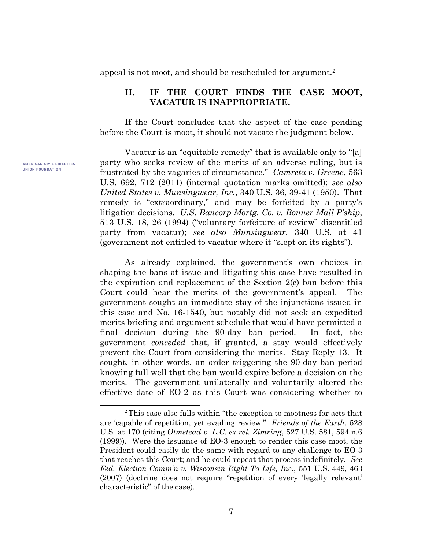appeal is not moot, and should be rescheduled for argument.<sup>2</sup>

## **II. IF THE COURT FINDS THE CASE MOOT, VACATUR IS INAPPROPRIATE.**

If the Court concludes that the aspect of the case pending before the Court is moot, it should not vacate the judgment below.

Vacatur is an "equitable remedy" that is available only to "[a] party who seeks review of the merits of an adverse ruling, but is frustrated by the vagaries of circumstance." *Camreta v. Greene*, 563 U.S. 692, 712 (2011) (internal quotation marks omitted); *see also United States v. Munsingwear, Inc.*, 340 U.S. 36, 39-41 (1950). That remedy is "extraordinary," and may be forfeited by a party's litigation decisions. *U.S. Bancorp Mortg. Co. v. Bonner Mall P'ship*, 513 U.S. 18, 26 (1994) ("voluntary forfeiture of review" disentitled party from vacatur); *see also Munsingwear*, 340 U.S. at 41 (government not entitled to vacatur where it "slept on its rights").

As already explained, the government's own choices in shaping the bans at issue and litigating this case have resulted in the expiration and replacement of the Section 2(c) ban before this Court could hear the merits of the government's appeal. The government sought an immediate stay of the injunctions issued in this case and No. 16-1540, but notably did not seek an expedited merits briefing and argument schedule that would have permitted a final decision during the 90-day ban period. In fact, the government *conceded* that, if granted, a stay would effectively prevent the Court from considering the merits. Stay Reply 13. It sought, in other words, an order triggering the 90-day ban period knowing full well that the ban would expire before a decision on the merits. The government unilaterally and voluntarily altered the effective date of EO-2 as this Court was considering whether to

AMERICAN CIVIL LIBERTIES **UNION FOUNDATION** 

 $\overline{a}$ 

<sup>2</sup>This case also falls within "the exception to mootness for acts that are 'capable of repetition, yet evading review." *Friends of the Earth*, 528 U.S. at 170 (citing *Olmstead v. L.C. ex rel. Zimring*, 527 U.S. 581, 594 n.6 (1999)). Were the issuance of EO-3 enough to render this case moot, the President could easily do the same with regard to any challenge to EO-3 that reaches this Court; and he could repeat that process indefinitely. *See Fed. Election Comm'n v. Wisconsin Right To Life, Inc.*, 551 U.S. 449, 463 (2007) (doctrine does not require "repetition of every 'legally relevant' characteristic" of the case).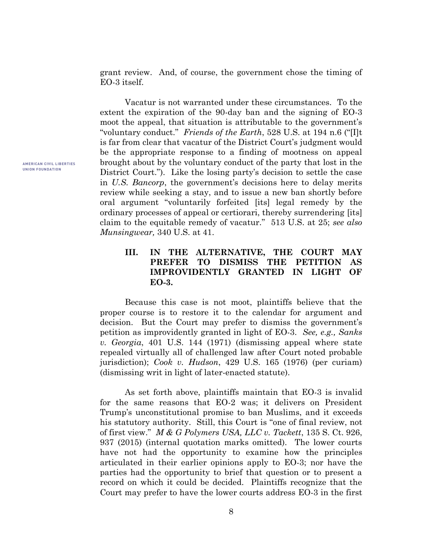grant review. And, of course, the government chose the timing of EO-3 itself.

Vacatur is not warranted under these circumstances. To the extent the expiration of the 90-day ban and the signing of EO-3 moot the appeal, that situation is attributable to the government's "voluntary conduct." *Friends of the Earth*, 528 U.S. at 194 n.6 ("[I]t is far from clear that vacatur of the District Court's judgment would be the appropriate response to a finding of mootness on appeal brought about by the voluntary conduct of the party that lost in the District Court."). Like the losing party's decision to settle the case in *U.S. Bancorp*, the government's decisions here to delay merits review while seeking a stay, and to issue a new ban shortly before oral argument "voluntarily forfeited [its] legal remedy by the ordinary processes of appeal or certiorari, thereby surrendering [its] claim to the equitable remedy of vacatur." 513 U.S. at 25; *see also Munsingwear,* 340 U.S. at 41.

# **III. IN THE ALTERNATIVE, THE COURT MAY PREFER TO DISMISS THE PETITION AS IMPROVIDENTLY GRANTED IN LIGHT OF EO-3.**

Because this case is not moot, plaintiffs believe that the proper course is to restore it to the calendar for argument and decision. But the Court may prefer to dismiss the government's petition as improvidently granted in light of EO-3. *See, e.g., Sanks v. Georgia*, 401 U.S. 144 (1971) (dismissing appeal where state repealed virtually all of challenged law after Court noted probable jurisdiction); *Cook v. Hudson*, 429 U.S. 165 (1976) (per curiam) (dismissing writ in light of later-enacted statute).

As set forth above, plaintiffs maintain that EO-3 is invalid for the same reasons that EO-2 was; it delivers on President Trump's unconstitutional promise to ban Muslims, and it exceeds his statutory authority. Still, this Court is "one of final review, not of first view." *M & G Polymers USA, LLC v. Tackett*, 135 S. Ct. 926, 937 (2015) (internal quotation marks omitted). The lower courts have not had the opportunity to examine how the principles articulated in their earlier opinions apply to EO-3; nor have the parties had the opportunity to brief that question or to present a record on which it could be decided. Plaintiffs recognize that the Court may prefer to have the lower courts address EO-3 in the first